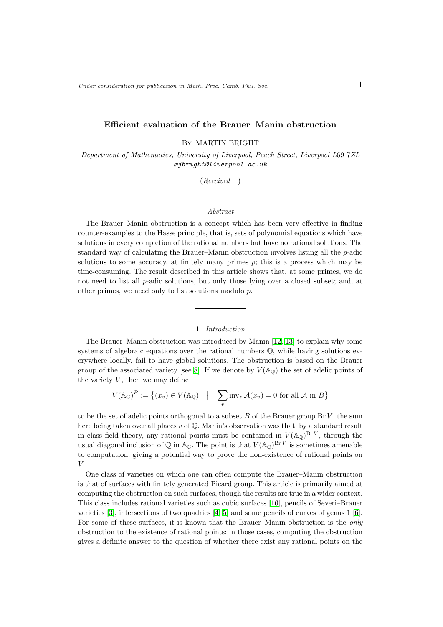## Efficient evaluation of the Brauer–Manin obstruction

By MARTIN BRIGHT

Department of Mathematics, University of Liverpool, Peach Street, Liverpool L69 7ZL mjbright@liverpool.ac.uk

(Received )

## Abstract

The Brauer–Manin obstruction is a concept which has been very effective in finding counter-examples to the Hasse principle, that is, sets of polynomial equations which have solutions in every completion of the rational numbers but have no rational solutions. The standard way of calculating the Brauer–Manin obstruction involves listing all the p-adic solutions to some accuracy, at finitely many primes  $p$ ; this is a process which may be time-consuming. The result described in this article shows that, at some primes, we do not need to list all p-adic solutions, but only those lying over a closed subset; and, at other primes, we need only to list solutions modulo p.

# 1. Introduction

The Brauer–Manin obstruction was introduced by Manin [\[12,](#page-10-0) [13\]](#page-10-1) to explain why some systems of algebraic equations over the rational numbers  $\mathbb{Q}$ , while having solutions everywhere locally, fail to have global solutions. The obstruction is based on the Brauer group of the associated variety [see [8\]](#page-10-2). If we denote by  $V(\mathbb{A}_{\mathbb{Q}})$  the set of adelic points of the variety  $V$ , then we may define

$$
V(\mathbb{A}_{\mathbb{Q}})^B := \left\{ (x_v) \in V(\mathbb{A}_{\mathbb{Q}}) \mid \sum_v \text{inv}_v \mathcal{A}(x_v) = 0 \text{ for all } \mathcal{A} \text{ in } B \right\}
$$

to be the set of adelic points orthogonal to a subset  $B$  of the Brauer group Br  $V$ , the sum here being taken over all places v of Q. Manin's observation was that, by a standard result in class field theory, any rational points must be contained in  $V(\mathbb{A}_{\mathbb{Q}})^{Br V}$ , through the usual diagonal inclusion of Q in  $\mathbb{A}_{\mathbb{O}}$ . The point is that  $V(\mathbb{A}_{\mathbb{O}})^{Br V}$  is sometimes amenable to computation, giving a potential way to prove the non-existence of rational points on  $V$ .

One class of varieties on which one can often compute the Brauer–Manin obstruction is that of surfaces with finitely generated Picard group. This article is primarily aimed at computing the obstruction on such surfaces, though the results are true in a wider context. This class includes rational varieties such as cubic surfaces [\[16\]](#page-10-3), pencils of Severi–Brauer varieties [\[3\]](#page-9-0), intersections of two quadrics [\[4,](#page-9-1) [5\]](#page-9-2) and some pencils of curves of genus 1 [\[6\]](#page-9-3). For some of these surfaces, it is known that the Brauer–Manin obstruction is the *only* obstruction to the existence of rational points: in those cases, computing the obstruction gives a definite answer to the question of whether there exist any rational points on the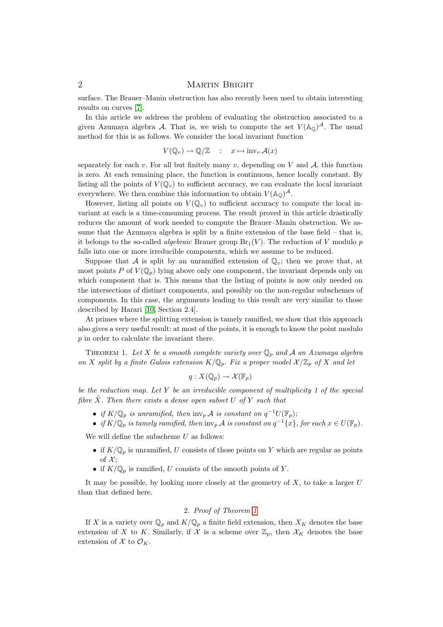surface. The Brauer–Manin obstruction has also recently been used to obtain interesting results on curves [\[7\]](#page-9-4).

In this article we address the problem of evaluating the obstruction associated to a given Azumaya algebra A. That is, we wish to compute the set  $V(\mathbb{A}_{\mathbb{Q}})^{\mathcal{A}}$ . The usual method for this is as follows. We consider the local invariant function

$$
V(\mathbb{Q}_v) \to \mathbb{Q}/\mathbb{Z} \quad : \quad x \mapsto \text{inv}_v \mathcal{A}(x)
$$

separately for each v. For all but finitely many v, depending on V and  $A$ , this function is zero. At each remaining place, the function is continuous, hence locally constant. By listing all the points of  $V(\mathbb{Q}_v)$  to sufficient accuracy, we can evaluate the local invariant everywhere. We then combine this information to obtain  $V(\mathbb{A}_{\mathbb{Q}})^{\mathcal{A}}$ .

However, listing all points on  $V(Q_v)$  to sufficient accuracy to compute the local invariant at each is a time-consuming process. The result proved in this article drastically reduces the amount of work needed to compute the Brauer–Manin obstruction. We assume that the Azumaya algebra is split by a finite extension of the base field – that is, it belongs to the so-called *algebraic* Brauer group  $Br_1(V)$ . The reduction of V modulo p falls into one or more irreducible components, which we assume to be reduced.

Suppose that A is split by an unramified extension of  $\mathbb{Q}_v$ ; then we prove that, at most points P of  $V(\mathbb{Q}_p)$  lying above only one component, the invariant depends only on which component that is. This means that the listing of points is now only needed on the intersections of distinct components, and possibly on the non-regular subschemes of components. In this case, the arguments leading to this result are very similar to those described by Harari [\[10,](#page-10-4) Section 2.4].

At primes where the splitting extension is tamely ramified, we show that this approach also gives a very useful result: at most of the points, it is enough to know the point modulo p in order to calculate the invariant there.

<span id="page-1-0"></span>THEOREM 1. Let X be a smooth complete variety over  $\mathbb{Q}_p$  and A an Azumaya algebra on X split by a finite Galois extension  $K/\mathbb{Q}_p$ . Fix a proper model  $\mathcal{X}/\mathbb{Z}_p$  of X and let

$$
q: X(\mathbb{Q}_p) \to \mathcal{X}(\mathbb{F}_p)
$$

be the reduction map. Let Y be an irreducible component of multiplicity  $1$  of the special fibre  $\tilde{X}$ . Then there exists a dense open subset U of Y such that

- if  $K/\mathbb{Q}_p$  is unramified, then  $\text{inv}_p \mathcal{A}$  is constant on  $q^{-1}U(\mathbb{F}_p)$ ;
- if  $K/\mathbb{Q}_p$  is tamely ramified, then  $\text{inv}_p \mathcal{A}$  is constant on  $q^{-1}\{x\}$ , for each  $x \in U(\mathbb{F}_p)$ .

We will define the subscheme  $U$  as follows:

- if  $K/\mathbb{Q}_p$  is unramified, U consists of those points on Y which are regular as points of  $\mathcal{X};$
- if  $K/\mathbb{Q}_p$  is ramified, U consists of the smooth points of Y.

It may be possible, by looking more closely at the geometry of  $X$ , to take a larger  $U$ than that defined here.

# 2. Proof of Theorem [1](#page-1-0)

If X is a variety over  $\mathbb{Q}_p$  and  $K/\mathbb{Q}_p$  a finite field extension, then  $X_K$  denotes the base extension of X to K. Similarly, if X is a scheme over  $\mathbb{Z}_p$ , then  $\mathcal{X}_K$  denotes the base extension of  $\mathcal X$  to  $\mathcal O_K$ .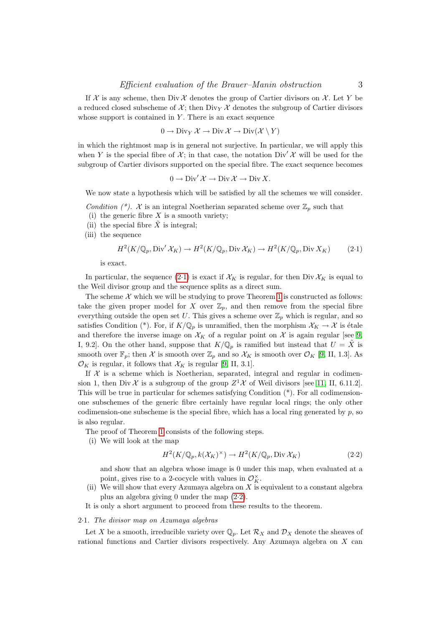If X is any scheme, then Div X denotes the group of Cartier divisors on X. Let Y be a reduced closed subscheme of  $\mathcal{X}$ ; then Div<sub>Y</sub>  $\mathcal{X}$  denotes the subgroup of Cartier divisors whose support is contained in  $Y$ . There is an exact sequence

$$
0 \to \text{Div}_Y \, \mathcal{X} \to \text{Div} \, \mathcal{X} \to \text{Div}(\mathcal{X} \setminus Y)
$$

in which the rightmost map is in general not surjective. In particular, we will apply this when Y is the special fibre of  $\mathcal{X}$ ; in that case, the notation Div' X will be used for the subgroup of Cartier divisors supported on the special fibre. The exact sequence becomes

$$
0 \to \mathrm{Div}' \, \mathcal{X} \to \mathrm{Div} \, \mathcal{X} \to \mathrm{Div} \, X.
$$

We now state a hypothesis which will be satisfied by all the schemes we will consider.

- Condition  $(*)$ . X is an integral Noetherian separated scheme over  $\mathbb{Z}_p$  such that
- (i) the generic fibre  $X$  is a smooth variety;
- (ii) the special fibre  $\tilde{X}$  is integral;

(iii) the sequence

<span id="page-2-0"></span>
$$
H^2(K/\mathbb{Q}_p, \text{Div}'\,\mathcal{X}_K) \to H^2(K/\mathbb{Q}_p, \text{Div}\,\mathcal{X}_K) \to H^2(K/\mathbb{Q}_p, \text{Div}\,\mathcal{X}_K) \tag{2.1}
$$

is exact.

In particular, the sequence [\(2](#page-2-0).1) is exact if  $\mathcal{X}_K$  is regular, for then Div  $\mathcal{X}_K$  is equal to the Weil divisor group and the sequence splits as a direct sum.

The scheme  $\mathcal X$  which we will be studying to prove Theorem [1](#page-1-0) is constructed as follows: take the given proper model for X over  $\mathbb{Z}_p$ , and then remove from the special fibre everything outside the open set U. This gives a scheme over  $\mathbb{Z}_p$  which is regular, and so satisfies Condition (\*). For, if  $K/\mathbb{Q}_p$  is unramified, then the morphism  $\mathcal{X}_K \to \mathcal{X}$  is étale and therefore the inverse image on  $\mathcal{X}_K$  of a regular point on  $\mathcal X$  is again regular [see [9,](#page-10-5) I, 9.2. On the other hand, suppose that  $K/\mathbb{Q}_p$  is ramified but instead that  $U = \tilde{X}$  is smooth over  $\mathbb{F}_p$ ; then X is smooth over  $\mathbb{Z}_p$  and so  $\mathcal{X}_K$  is smooth over  $\mathcal{O}_K$  [\[9,](#page-10-5) II, 1.3]. As  $\mathcal{O}_K$  is regular, it follows that  $\mathcal{X}_K$  is regular [\[9,](#page-10-5) II, 3.1].

If  $X$  is a scheme which is Noetherian, separated, integral and regular in codimension 1, then Div X is a subgroup of the group  $Z^1$ X of Weil divisors [see [11,](#page-10-6) II, 6.11.2]. This will be true in particular for schemes satisfying Condition (\*). For all codimensionone subschemes of the generic fibre certainly have regular local rings; the only other codimension-one subscheme is the special fibre, which has a local ring generated by  $p$ , so is also regular.

- The proof of Theorem [1](#page-1-0) consists of the following steps.
- (i) We will look at the map

<span id="page-2-1"></span>
$$
H^2(K/\mathbb{Q}_p, k(\mathcal{X}_K)^\times) \to H^2(K/\mathbb{Q}_p, \text{Div }\mathcal{X}_K)
$$
\n(2.2)

and show that an algebra whose image is 0 under this map, when evaluated at a point, gives rise to a 2-cocycle with values in  $\mathcal{O}_K^{\times}$ .

(ii) We will show that every Azumaya algebra on X is equivalent to a constant algebra plus an algebra giving 0 under the map (2·[2\)](#page-2-1).

It is only a short argument to proceed from these results to the theorem.

#### 2·1. The divisor map on Azumaya algebras

Let X be a smooth, irreducible variety over  $\mathbb{Q}_p$ . Let  $\mathcal{R}_X$  and  $\mathcal{D}_X$  denote the sheaves of rational functions and Cartier divisors respectively. Any Azumaya algebra on X can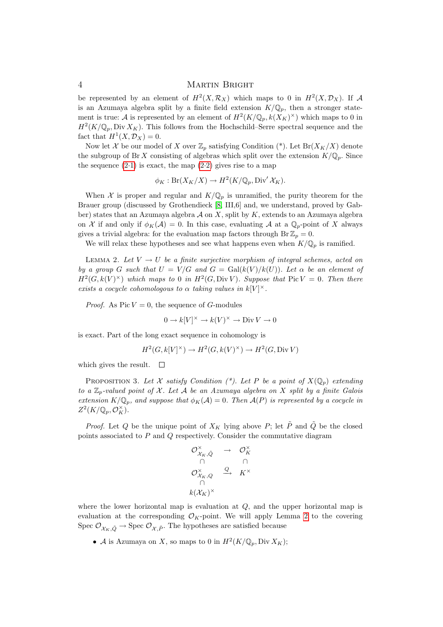be represented by an element of  $H^2(X, \mathcal{R}_X)$  which maps to 0 in  $H^2(X, \mathcal{D}_X)$ . If A is an Azumaya algebra split by a finite field extension  $K/\mathbb{Q}_p$ , then a stronger statement is true: A is represented by an element of  $H^2(K/\mathbb{Q}_p, k(X_K)^{\times})$  which maps to 0 in  $H^2(K/\mathbb{Q}_p, \text{Div } X_K)$ . This follows from the Hochschild–Serre spectral sequence and the fact that  $H^1(X, \mathcal{D}_X) = 0$ .

Now let X be our model of X over  $\mathbb{Z}_p$  satisfying Condition (\*). Let  $Br(X_K/X)$  denote the subgroup of Br X consisting of algebras which split over the extension  $K/\mathbb{Q}_p$ . Since the sequence  $(2.1)$  $(2.1)$  is exact, the map  $(2.2)$  gives rise to a map

$$
\phi_K: \mathrm{Br}(X_K/X) \to H^2(K/\mathbb{Q}_p, \mathrm{Div}'\,\mathcal{X}_K).
$$

When X is proper and regular and  $K/\mathbb{Q}_p$  is unramified, the purity theorem for the Brauer group (discussed by Grothendieck [\[8,](#page-10-2) III,6] and, we understand, proved by Gabber) states that an Azumaya algebra  $A$  on  $X$ , split by  $K$ , extends to an Azumaya algebra on X if and only if  $\phi_K(\mathcal{A}) = 0$ . In this case, evaluating A at a  $\mathbb{Q}_p$ -point of X always gives a trivial algebra: for the evaluation map factors through  $\text{Br } \mathbb{Z}_p = 0$ .

We will relax these hypotheses and see what happens even when  $K/\mathbb{Q}_p$  is ramified.

<span id="page-3-0"></span>LEMMA 2. Let  $V \to U$  be a finite surjective morphism of integral schemes, acted on by a group G such that  $U = V/G$  and  $G = \text{Gal}(k(V)/k(U))$ . Let  $\alpha$  be an element of  $H^2(G, k(V)^{\times})$  which maps to 0 in  $H^2(G, Div V)$ . Suppose that  $Pic V = 0$ . Then there exists a cocycle cohomologous to  $\alpha$  taking values in  $k[V]^{\times}$ .

*Proof.* As Pic  $V = 0$ , the sequence of G-modules

$$
0 \to k[V]^\times \to k(V)^\times \to \text{Div}\, V \to 0
$$

is exact. Part of the long exact sequence in cohomology is

$$
H^2(G, k[V]^\times) \to H^2(G, k(V)^\times) \to H^2(G, \text{Div } V)
$$

which gives the result.  $\square$ 

<span id="page-3-1"></span>PROPOSITION 3. Let X satisfy Condition  $(*)$ . Let P be a point of  $X(\mathbb{Q}_p)$  extending to a  $\mathbb{Z}_p$ -valued point of X. Let A be an Azumaya algebra on X split by a finite Galois extension  $K/\mathbb{Q}_p$ , and suppose that  $\phi_K(\mathcal{A})=0$ . Then  $\mathcal{A}(P)$  is represented by a cocycle in  $Z^2(K/\mathbb{Q}_p,\mathcal{O}_K^{\times}).$ 

*Proof.* Let Q be the unique point of  $X_K$  lying above P; let  $\tilde{P}$  and  $\tilde{Q}$  be the closed points associated to P and Q respectively. Consider the commutative diagram

$$
\begin{array}{ccc}\n\mathcal{O}_{\mathcal{X}_K, \tilde{Q}}^{\times} & \to & \mathcal{O}_K^{\times} \\
\cap & & \cap & \\
\mathcal{O}_{\mathcal{X}_K, Q}^{\times} & \xrightarrow{Q} & K^{\times} \\
\cap & & \\
k(\mathcal{X}_K)^{\times}\n\end{array}
$$

where the lower horizontal map is evaluation at Q, and the upper horizontal map is evaluation at the corresponding  $\mathcal{O}_K$ -point. We will apply Lemma [2](#page-3-0) to the covering Spec  $\mathcal{O}_{\chi_K,\tilde{Q}} \to \text{Spec } \mathcal{O}_{\chi,\tilde{P}}$ . The hypotheses are satisfied because

• A is Azumaya on X, so maps to 0 in  $H^2(K/\mathbb{Q}_p, \text{Div } X_K);$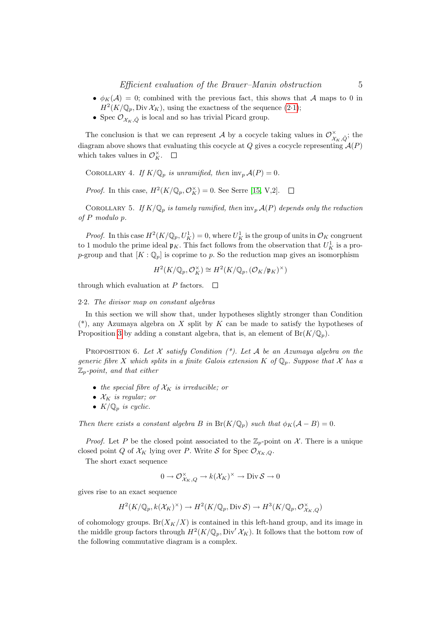- $\phi_K(\mathcal{A}) = 0$ ; combined with the previous fact, this shows that A maps to 0 in  $H^2(K/\mathbb{Q}_p, \text{Div }\mathcal{X}_K)$ , using the exactness of the sequence  $(2\cdot 1)$  $(2\cdot 1)$ ;
- Spec  $\mathcal{O}_{\mathcal{X}_{K},\tilde{O}}$  is local and so has trivial Picard group.

The conclusion is that we can represent A by a cocycle taking values in  $\mathcal{O}_{\mathcal{X}_K,\tilde{Q}}^{\times}$ ; the diagram above shows that evaluating this cocycle at  $Q$  gives a cocycle representing  $\mathcal{A}(P)$ which takes values in  $\mathcal{O}_K^{\times}$ .

<span id="page-4-1"></span>COROLLARY 4. If  $K/\mathbb{Q}_p$  is unramified, then  $\text{inv}_p \mathcal{A}(P) = 0$ .

*Proof.* In this case,  $H^2(K/\mathbb{Q}_p, \mathcal{O}_K^{\times}) = 0$ . See Serre [\[15,](#page-10-7) V,2].  $\Box$ 

<span id="page-4-2"></span>COROLLARY 5. If  $K/\mathbb{Q}_p$  is tamely ramified, then  $\text{inv}_p \mathcal{A}(P)$  depends only the reduction of P modulo p.

*Proof.* In this case  $H^2(K/\mathbb{Q}_p, U^1_K) = 0$ , where  $U^1_K$  is the group of units in  $\mathcal{O}_K$  congruent to 1 modulo the prime ideal  $\mathfrak{p}_K$ . This fact follows from the observation that  $U_K^1$  is a prop-group and that  $[K : \mathbb{Q}_p]$  is coprime to p. So the reduction map gives an isomorphism

$$
H^2(K/\mathbb{Q}_p,\mathcal{O}_K^{\times})\cong H^2(K/\mathbb{Q}_p,(\mathcal{O}_K/\mathfrak{p}_K)^{\times})
$$

through which evaluation at P factors.  $\Box$ 

#### 2·2. The divisor map on constant algebras

In this section we will show that, under hypotheses slightly stronger than Condition  $(*),$  any Azumaya algebra on X split by K can be made to satisfy the hypotheses of Proposition [3](#page-3-1) by adding a constant algebra, that is, an element of  $Br(K/\mathbb{Q}_p)$ .

<span id="page-4-0"></span>PROPOSITION 6. Let X satisfy Condition  $(*)$ . Let A be an Azumaya algebra on the generic fibre X which splits in a finite Galois extension K of  $\mathbb{Q}_p$ . Suppose that X has a  $\mathbb{Z}_p$ -point, and that either

- the special fibre of  $\mathcal{X}_K$  is irreducible; or
- $\mathcal{X}_K$  is regular; or
- $K/\mathbb{Q}_p$  is cyclic.

Then there exists a constant algebra B in  $Br(K/\mathbb{Q}_p)$  such that  $\phi_K(\mathcal{A} - B) = 0$ .

*Proof.* Let P be the closed point associated to the  $\mathbb{Z}_p$ -point on X. There is a unique closed point Q of  $\mathcal{X}_K$  lying over P. Write S for Spec  $\mathcal{O}_{\mathcal{X}_K,Q}$ .

The short exact sequence

$$
0 \to \mathcal{O}_{\mathcal{X}_K,Q}^\times \to k(\mathcal{X}_K)^\times \to \text{Div}\, \mathcal{S} \to 0
$$

gives rise to an exact sequence

$$
H^2(K/\mathbb{Q}_p, k(\mathcal{X}_K)^{\times}) \to H^2(K/\mathbb{Q}_p, \text{Div}\,\mathcal{S}) \to H^3(K/\mathbb{Q}_p, \mathcal{O}_{\mathcal{X}_K, Q}^{\times})
$$

of cohomology groups.  $Br(X_K/X)$  is contained in this left-hand group, and its image in the middle group factors through  $H^2(K/\mathbb{Q}_p, \text{Div}'\mathcal{X}_K)$ . It follows that the bottom row of the following commutative diagram is a complex.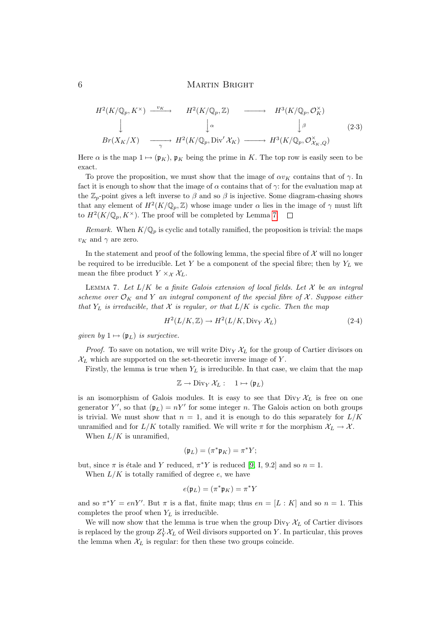$$
H^{2}(K/\mathbb{Q}_{p}, K^{\times}) \xrightarrow{\nu_{K}} H^{2}(K/\mathbb{Q}_{p}, \mathbb{Z}) \longrightarrow H^{3}(K/\mathbb{Q}_{p}, \mathcal{O}_{K}^{\times})
$$
  
\n
$$
\downarrow \qquad \qquad \downarrow \alpha \qquad \qquad \downarrow \beta \qquad (2.3)
$$
  
\n
$$
Br(X_{K}/X) \xrightarrow{\gamma} H^{2}(K/\mathbb{Q}_{p}, \text{Div}' \mathcal{X}_{K}) \longrightarrow H^{3}(K/\mathbb{Q}_{p}, \mathcal{O}_{\mathcal{X}_{K}, Q}^{\times})
$$

Here  $\alpha$  is the map  $1 \mapsto (\mathfrak{p}_K)$ ,  $\mathfrak{p}_K$  being the prime in K. The top row is easily seen to be exact.

To prove the proposition, we must show that the image of  $\alpha v_K$  contains that of  $\gamma$ . In fact it is enough to show that the image of  $\alpha$  contains that of  $\gamma$ : for the evaluation map at the  $\mathbb{Z}_p$ -point gives a left inverse to  $\beta$  and so  $\beta$  is injective. Some diagram-chasing shows that any element of  $H^2(K/\mathbb{Q}_p, \mathbb{Z})$  whose image under  $\alpha$  lies in the image of  $\gamma$  must lift to  $H^2(K/\mathbb{Q}_p, K^\times)$ . The proof will be completed by Lemma [7.](#page-5-0)

Remark. When  $K/\mathbb{Q}_p$  is cyclic and totally ramified, the proposition is trivial: the maps  $v_K$  and  $\gamma$  are zero.

In the statement and proof of the following lemma, the special fibre of  $\mathcal X$  will no longer be required to be irreducible. Let Y be a component of the special fibre; then by  $Y_L$  we mean the fibre product  $Y \times_{\mathcal{X}} \mathcal{X}_{L}$ .

<span id="page-5-0"></span>LEMMA 7. Let  $L/K$  be a finite Galois extension of local fields. Let  $\mathcal X$  be an integral scheme over  $\mathcal{O}_K$  and Y an integral component of the special fibre of X. Suppose either that  $Y_L$  is irreducible, that X is regular, or that  $L/K$  is cyclic. Then the map

<span id="page-5-1"></span>
$$
H^2(L/K, \mathbb{Z}) \to H^2(L/K, \text{Div}_Y \mathcal{X}_L)
$$
\n(2.4)

given by  $1 \mapsto (\mathfrak{p}_L)$  is surjective.

*Proof.* To save on notation, we will write  $\text{Div}_Y \mathcal{X}_L$  for the group of Cartier divisors on  $\mathcal{X}_L$  which are supported on the set-theoretic inverse image of Y.

Firstly, the lemma is true when  $Y_L$  is irreducible. In that case, we claim that the map

$$
\mathbb{Z} \to \text{Div}_Y \, \mathcal{X}_L : \quad 1 \mapsto (\mathfrak{p}_L)
$$

is an isomorphism of Galois modules. It is easy to see that  $\text{Div}_Y \mathcal{X}_L$  is free on one generator Y', so that  $(\mathfrak{p}_L) = nY'$  for some integer n. The Galois action on both groups is trivial. We must show that  $n = 1$ , and it is enough to do this separately for  $L/K$ unramified and for  $L/K$  totally ramified. We will write  $\pi$  for the morphism  $\mathcal{X}_L \to \mathcal{X}$ .

When  $L/K$  is unramified,

$$
(\mathfrak{p}_L) = (\pi^* \mathfrak{p}_K) = \pi^* Y;
$$

but, since  $\pi$  is étale and Y reduced,  $\pi^* Y$  is reduced [\[9,](#page-10-5) I, 9.2] and so  $n = 1$ .

When  $L/K$  is totally ramified of degree  $e$ , we have

$$
e(\mathfrak{p}_L) = (\pi^* \mathfrak{p}_K) = \pi^* Y
$$

and so  $\pi^*Y = enY'$ . But  $\pi$  is a flat, finite map; thus  $en = [L : K]$  and so  $n = 1$ . This completes the proof when  $Y_L$  is irreducible.

We will now show that the lemma is true when the group  $\text{Div}_Y \mathcal{X}_L$  of Cartier divisors is replaced by the group  $Z_Y^1 \mathcal{X}_L$  of Weil divisors supported on Y. In particular, this proves the lemma when  $\mathcal{X}_L$  is regular: for then these two groups coincide.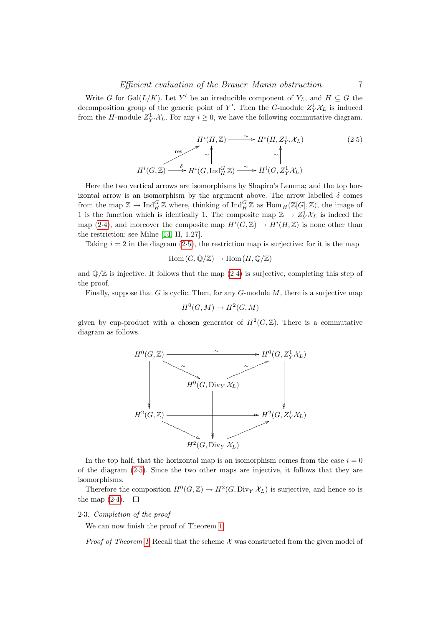Write G for Gal $(L/K)$ . Let Y' be an irreducible component of  $Y_L$ , and  $H \subseteq G$  the decomposition group of the generic point of Y'. Then the G-module  $Z_Y^1 \mathcal{X}_L$  is induced from the H-module  $Z_{Y'}^1 \mathcal{X}_L$ . For any  $i \geq 0$ , we have the following commutative diagram.

<span id="page-6-0"></span>
$$
H^{i}(H, \mathbb{Z}) \xrightarrow{\sim} H^{i}(H, Z_{Y}^{1}, \mathcal{X}_{L})
$$
\n
$$
\uparrow \qquad \qquad \uparrow \qquad \qquad \downarrow
$$
\n
$$
H^{i}(G, \mathbb{Z}) \xrightarrow{\delta} H^{i}(G, \operatorname{Ind}_{H}^{G} \mathbb{Z}) \xrightarrow{\sim} H^{i}(G, Z_{Y}^{1} \mathcal{X}_{L})
$$
\n
$$
(2.5)
$$

Here the two vertical arrows are isomorphisms by Shapiro's Lemma; and the top horizontal arrow is an isomorphism by the argument above. The arrow labelled  $\delta$  comes from the map  $\mathbb{Z} \to \text{Ind}_{H}^{G} \mathbb{Z}$  where, thinking of  $\text{Ind}_{H}^{G} \mathbb{Z}$  as  $\text{Hom}_{H}(\mathbb{Z}[G], \mathbb{Z})$ , the image of 1 is the function which is identically 1. The composite map  $\mathbb{Z} \to Z_Y^1 \mathcal{X}_L$  is indeed the map [\(2](#page-5-1).4), and moreover the composite map  $H^{i}(G,\mathbb{Z}) \to H^{i}(H,\mathbb{Z})$  is none other than the restriction: see Milne [\[14,](#page-10-8) II, 1.27].

Taking  $i = 2$  in the diagram [\(2](#page-6-0).5), the restriction map is surjective: for it is the map

$$
\mathrm{Hom}\,(G,\mathbb{Q}/\mathbb{Z})\to \mathrm{Hom}\,(H,\mathbb{Q}/\mathbb{Z})
$$

and  $\mathbb{O}/\mathbb{Z}$  is injective. It follows that the map  $(2.4)$  $(2.4)$  is surjective, completing this step of the proof.

Finally, suppose that G is cyclic. Then, for any  $G$ -module  $M$ , there is a surjective map

$$
H^0(G, M) \to H^2(G, M)
$$

given by cup-product with a chosen generator of  $H^2(G,\mathbb{Z})$ . There is a commutative diagram as follows.



In the top half, that the horizontal map is an isomorphism comes from the case  $i = 0$ of the diagram [\(2](#page-6-0)·5). Since the two other maps are injective, it follows that they are isomorphisms.

Therefore the composition  $H^0(G, \mathbb{Z}) \to H^2(G, \text{Div}_Y \mathcal{X}_L)$  is surjective, and hence so is the map  $(2-4)$  $(2-4)$ .  $\Box$ 

## 2·3. Completion of the proof

We can now finish the proof of Theorem [1.](#page-1-0)

*Proof of Theorem [1](#page-1-0)* Recall that the scheme  $\mathcal X$  was constructed from the given model of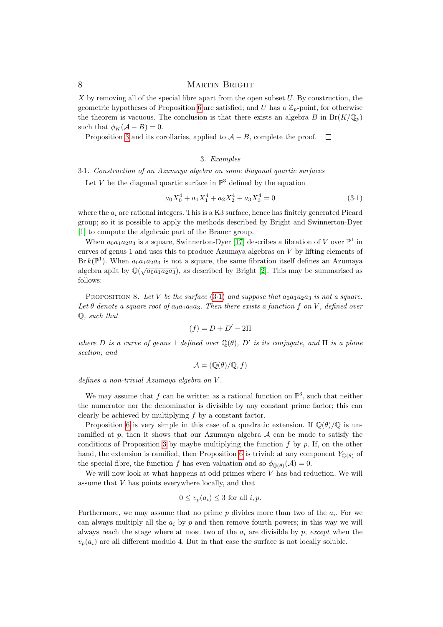X by removing all of the special fibre apart from the open subset  $U$ . By construction, the geometric hypotheses of Proposition [6](#page-4-0) are satisfied; and U has a  $\mathbb{Z}_p$ -point, for otherwise the theorem is vacuous. The conclusion is that there exists an algebra B in  $Br(K/\mathbb{Q}_p)$ such that  $\phi_K(\mathcal{A} - B) = 0$ .

Proposition [3](#page-3-1) and its corollaries, applied to  $A - B$ , complete the proof.  $\square$ 

# 3. Examples

### 3·1. Construction of an Azumaya algebra on some diagonal quartic surfaces

Let V be the diagonal quartic surface in  $\mathbb{P}^3$  defined by the equation

<span id="page-7-0"></span>
$$
a_0X_0^4 + a_1X_1^4 + a_2X_2^4 + a_3X_3^4 = 0
$$
\n(3.1)

where the  $a_i$  are rational integers. This is a K3 surface, hence has finitely generated Picard group; so it is possible to apply the methods described by Bright and Swinnerton-Dyer [\[1\]](#page-9-5) to compute the algebraic part of the Brauer group.

When  $a_0a_1a_2a_3$  is a square, Swinnerton-Dyer [\[17\]](#page-10-9) describes a fibration of V over  $\mathbb{P}^1$  in curves of genus 1 and uses this to produce Azumaya algebras on  $V$  by lifting elements of Br  $k(\mathbb{P}^1)$ . When  $a_0a_1a_2a_3$  is not a square, the same fibration itself defines an Azumaya algebra aplit by  $\mathbb{Q}(\sqrt{a_0a_1a_2a_3})$ , as described by Bright [\[2\]](#page-9-6). This may be summarised as follows:

PROPOSITION 8. Let V be the surface  $(3\cdot 1)$  $(3\cdot 1)$  and suppose that  $a_0a_1a_2a_3$  is not a square. Let  $\theta$  denote a square root of  $a_0a_1a_2a_3$ . Then there exists a function f on V, defined over Q, such that

$$
(f) = D + D' - 2\Pi
$$

where D is a curve of genus 1 defined over  $\mathbb{Q}(\theta)$ , D' is its conjugate, and  $\Pi$  is a plane section; and

$$
\mathcal{A} = (\mathbb{Q}(\theta)/\mathbb{Q}, f)
$$

defines a non-trivial Azumaya algebra on V .

We may assume that f can be written as a rational function on  $\mathbb{P}^3$ , such that neither the numerator nor the denominator is divisible by any constant prime factor; this can clearly be achieved by multiplying f by a constant factor.

Proposition [6](#page-4-0) is very simple in this case of a quadratic extension. If  $\mathbb{Q}(\theta)/\mathbb{Q}$  is unramified at  $p$ , then it shows that our Azumaya algebra  $A$  can be made to satisfy the conditions of Proposition [3](#page-3-1) by maybe multiplying the function  $f$  by  $p$ . If, on the other hand, the extension is ramified, then Proposition [6](#page-4-0) is trivial: at any component  $Y_{\mathbb{Q}(\theta)}$  of the special fibre, the function f has even valuation and so  $\phi_{\mathbb{O}(\theta)}(\mathcal{A})=0$ .

We will now look at what happens at odd primes where  $V$  has bad reduction. We will assume that V has points everywhere locally, and that

$$
0 \le v_p(a_i) \le 3
$$
 for all  $i, p$ .

Furthermore, we may assume that no prime  $p$  divides more than two of the  $a_i$ . For we can always multiply all the  $a_i$  by p and then remove fourth powers; in this way we will always reach the stage where at most two of the  $a_i$  are divisible by p, except when the  $v_p(a_i)$  are all different modulo 4. But in that case the surface is not locally soluble.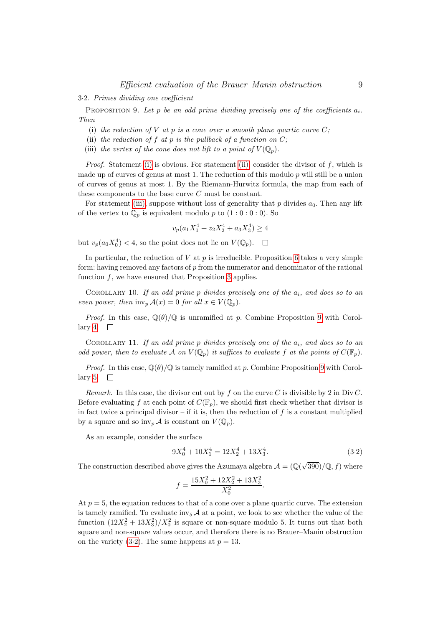3·2. Primes dividing one coefficient

<span id="page-8-3"></span>PROPOSITION 9. Let p be an odd prime dividing precisely one of the coefficients  $a_i$ . Then

- <span id="page-8-0"></span>(i) the reduction of  $V$  at  $p$  is a cone over a smooth plane quartic curve  $C$ ;
- <span id="page-8-1"></span>(ii) the reduction of f at p is the pullback of a function on  $C$ ;
- <span id="page-8-2"></span>(iii) the vertex of the cone does not lift to a point of  $V(\mathbb{Q}_p)$ .

*Proof.* Statement [\(i\)](#page-8-0) is obvious. For statement [\(ii\),](#page-8-1) consider the divisor of f, which is made up of curves of genus at most 1. The reduction of this modulo  $p$  will still be a union of curves of genus at most 1. By the Riemann-Hurwitz formula, the map from each of these components to the base curve C must be constant.

For statement [\(iii\),](#page-8-2) suppose without loss of generality that  $p$  divides  $a_0$ . Then any lift of the vertex to  $\mathbb{Q}_p$  is equivalent modulo p to  $(1:0:0:0)$ . So

$$
v_p(a_1X_1^4 + z_2X_2^4 + a_3X_3^4) \ge 4
$$

but  $v_p(a_0X_0^4) < 4$ , so the point does not lie on  $V(\mathbb{Q}_p)$ .

In particular, the reduction of  $V$  at  $p$  is irreducible. Proposition [6](#page-4-0) takes a very simple form: having removed any factors of  $p$  from the numerator and denominator of the rational function  $f$ , we have ensured that Proposition [3](#page-3-1) applies.

COROLLARY 10. If an odd prime p divides precisely one of the  $a_i$ , and does so to an even power, then  $\text{inv}_p \mathcal{A}(x) = 0$  for all  $x \in V(\mathbb{Q}_p)$ .

*Proof.* In this case,  $\mathbb{Q}(\theta)/\mathbb{Q}$  is unramified at p. Combine Proposition [9](#page-8-3) with Corol-lary [4.](#page-4-1)  $\square$ 

COROLLARY 11. If an odd prime p divides precisely one of the  $a_i$ , and does so to an odd power, then to evaluate A on  $V(\mathbb{Q}_p)$  it suffices to evaluate f at the points of  $C(\mathbb{F}_p)$ .

*Proof.* In this case,  $\mathbb{Q}(\theta)/\mathbb{Q}$  is tamely ramified at p. Combine Proposition [9](#page-8-3) with Corol-lary [5.](#page-4-2)  $\Box$ 

Remark. In this case, the divisor cut out by f on the curve C is divisible by 2 in Div C. Before evaluating f at each point of  $C(\mathbb{F}_p)$ , we should first check whether that divisor is in fact twice a principal divisor – if it is, then the reduction of  $f$  is a constant multiplied by a square and so  $\text{inv}_p \mathcal{A}$  is constant on  $V(\mathbb{Q}_p)$ .

As an example, consider the surface

<span id="page-8-4"></span>
$$
9X_0^4 + 10X_1^4 = 12X_2^4 + 13X_3^4. \tag{3.2}
$$

The construction described above gives the Azumaya algebra  $\mathcal{A} = (\mathbb{Q}(\sqrt{390})/\mathbb{Q}, f)$  where

$$
f = \frac{15X_0^2 + 12X_2^2 + 13X_3^2}{X_0^2}.
$$

At  $p = 5$ , the equation reduces to that of a cone over a plane quartic curve. The extension is tamely ramified. To evaluate  $inv_5 \mathcal{A}$  at a point, we look to see whether the value of the function  $(12X_2^2 + 13X_3^2)/X_0^2$  is square or non-square modulo 5. It turns out that both square and non-square values occur, and therefore there is no Brauer–Manin obstruction on the variety (3.[2\)](#page-8-4). The same happens at  $p = 13$ .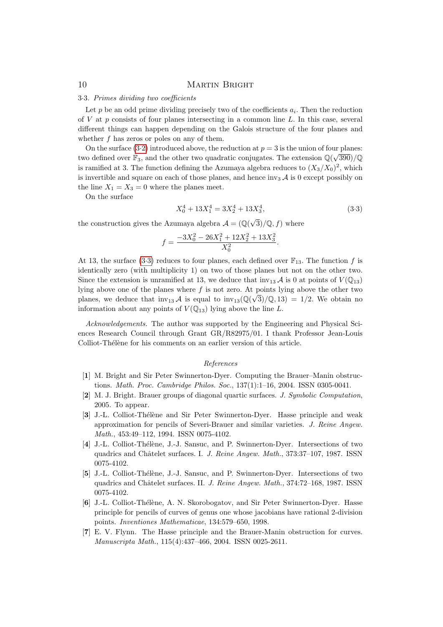## 3·3. Primes dividing two coefficients

Let  $p$  be an odd prime dividing precisely two of the coefficients  $a_i$ . Then the reduction of V at p consists of four planes intersecting in a common line  $L$ . In this case, several different things can happen depending on the Galois structure of the four planes and whether  $f$  has zeros or poles on any of them.

On the surface [\(3](#page-8-4)·2) introduced above, the reduction at  $p = 3$  is the union of four planes: two defined over  $\mathbb{F}_3$ , and the other two quadratic conjugates. The extension  $\mathbb{Q}(\sqrt{390})/\mathbb{Q}$ is ramified at 3. The function defining the Azumaya algebra reduces to  $(X_3/X_0)^2$ , which is invertible and square on each of those planes, and hence inv<sub>3</sub>  $\mathcal A$  is 0 except possibly on the line  $X_1 = X_3 = 0$  where the planes meet.

On the surface

<span id="page-9-7"></span>
$$
X_0^4 + 13X_1^4 = 3X_2^4 + 13X_3^4,\tag{3.3}
$$

the construction gives the Azumaya algebra  $\mathcal{A} = (\mathbb{Q}(\sqrt{3})/\mathbb{Q}, f)$  where

$$
f = \frac{-3X_0^2 - 26X_1^2 + 12X_2^2 + 13X_3^2}{X_0^2}.
$$

At 13, the surface [\(3](#page-9-7).3) reduces to four planes, each defined over  $\mathbb{F}_{13}$ . The function f is identically zero (with multiplicity 1) on two of those planes but not on the other two. Since the extension is unramified at 13, we deduce that  $inv_{13} \mathcal{A}$  is 0 at points of  $V(\mathbb{Q}_{13})$ lying above one of the planes where f is not zero. At points lying above the other two planes, we deduce that  $inv_{13} \mathcal{A}$  is equal to  $inv_{13}(\mathbb{Q}(\sqrt{3})/\mathbb{Q}, 13) = 1/2$ . We obtain no information about any points of  $V(\mathbb{Q}_{13})$  lying above the line L.

Acknowledgements. The author was supported by the Engineering and Physical Sciences Research Council through Grant GR/R82975/01. I thank Professor Jean-Louis Colliot-Thélène for his comments on an earlier version of this article.

#### References

- <span id="page-9-5"></span>[1] M. Bright and Sir Peter Swinnerton-Dyer. Computing the Brauer–Manin obstructions. Math. Proc. Cambridge Philos. Soc., 137(1):1–16, 2004. ISSN 0305-0041.
- <span id="page-9-6"></span>[2] M. J. Bright. Brauer groups of diagonal quartic surfaces. J. Symbolic Computation, 2005. To appear.
- <span id="page-9-0"></span>[3] J.-L. Colliot-Thélène and Sir Peter Swinnerton-Dyer. Hasse principle and weak approximation for pencils of Severi-Brauer and similar varieties. J. Reine Angew. Math., 453:49–112, 1994. ISSN 0075-4102.
- <span id="page-9-1"></span>[4] J.-L. Colliot-Thélène, J.-J. Sansuc, and P. Swinnerton-Dyer. Intersections of two quadrics and Châtelet surfaces. I. J. Reine Angew. Math., 373:37-107, 1987. ISSN 0075-4102.
- <span id="page-9-2"></span>[5] J.-L. Colliot-Thélène, J.-J. Sansuc, and P. Swinnerton-Dyer. Intersections of two quadrics and Châtelet surfaces. II. J. Reine Angew. Math., 374:72-168, 1987. ISSN 0075-4102.
- <span id="page-9-3"></span>[6] J.-L. Colliot-Thélène, A. N. Skorobogatov, and Sir Peter Swinnerton-Dyer. Hasse principle for pencils of curves of genus one whose jacobians have rational 2-division points. Inventiones Mathematicae, 134:579–650, 1998.
- <span id="page-9-4"></span>[7] E. V. Flynn. The Hasse principle and the Brauer-Manin obstruction for curves. Manuscripta Math., 115(4):437–466, 2004. ISSN 0025-2611.